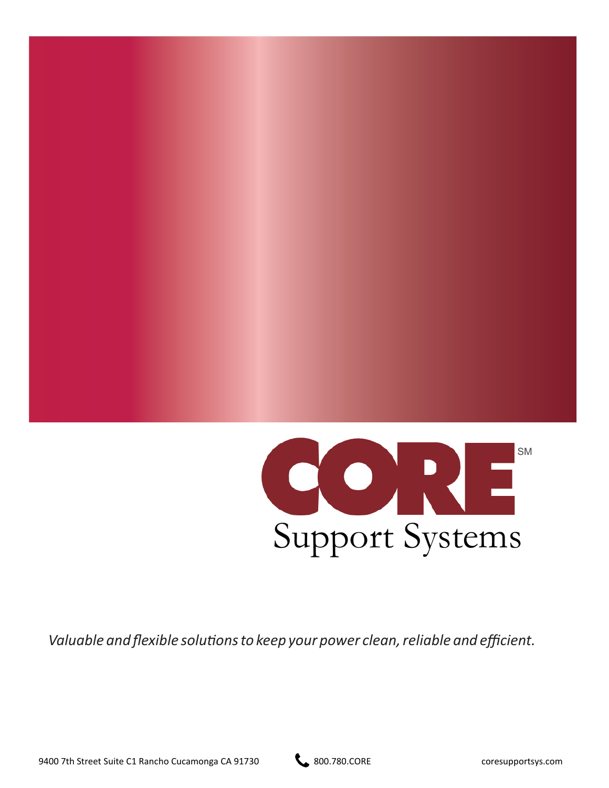

*Valuable and flexible solutionsto keep your power clean,reliable and efficient.*